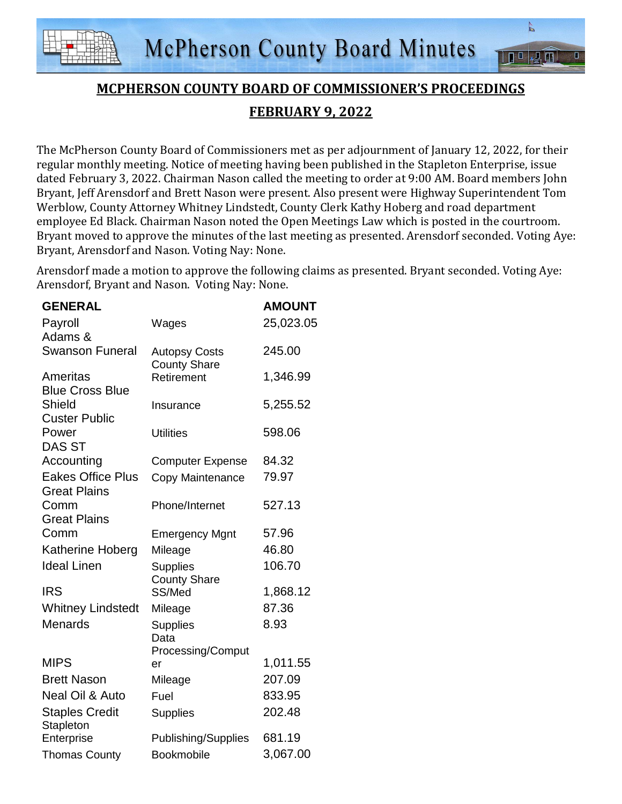

 $\frac{1}{\sqrt{2}}$ 

 $\sqrt{2}$   $\overline{m}$ 

**TO** 

The McPherson County Board of Commissioners met as per adjournment of January 12, 2022, for their regular monthly meeting. Notice of meeting having been published in the Stapleton Enterprise, issue dated February 3, 2022. Chairman Nason called the meeting to order at 9:00 AM. Board members John Bryant, Jeff Arensdorf and Brett Nason were present. Also present were Highway Superintendent Tom Werblow, County Attorney Whitney Lindstedt, County Clerk Kathy Hoberg and road department employee Ed Black. Chairman Nason noted the Open Meetings Law which is posted in the courtroom. Bryant moved to approve the minutes of the last meeting as presented. Arensdorf seconded. Voting Aye: Bryant, Arensdorf and Nason. Voting Nay: None.

Arensdorf made a motion to approve the following claims as presented. Bryant seconded. Voting Aye: Arensdorf, Bryant and Nason. Voting Nay: None.

| <b>GENERAL</b>                                  |                                              | <b>AMOUNT</b> |
|-------------------------------------------------|----------------------------------------------|---------------|
| Payroll                                         | Wages                                        | 25,023.05     |
| Adams &                                         |                                              |               |
| <b>Swanson Funeral</b>                          | <b>Autopsy Costs</b><br><b>County Share</b>  | 245.00        |
| Ameritas<br><b>Blue Cross Blue</b>              | Retirement                                   | 1,346.99      |
| <b>Shield</b><br><b>Custer Public</b>           | Insurance                                    | 5,255.52      |
| Power<br><b>DAS ST</b>                          | <b>Utilities</b>                             | 598.06        |
| Accounting                                      | <b>Computer Expense</b>                      | 84.32         |
| <b>Eakes Office Plus</b><br><b>Great Plains</b> | Copy Maintenance                             | 79.97         |
| Comm<br><b>Great Plains</b>                     | Phone/Internet                               | 527.13        |
| Comm                                            | <b>Emergency Mgnt</b>                        | 57.96         |
| <b>Katherine Hoberg</b>                         | Mileage                                      | 46.80         |
| <b>Ideal Linen</b>                              | <b>Supplies</b><br><b>County Share</b>       | 106.70        |
| <b>IRS</b>                                      | SS/Med                                       | 1,868.12      |
| <b>Whitney Lindstedt</b>                        | Mileage                                      | 87.36         |
| <b>Menards</b>                                  | <b>Supplies</b><br>Data<br>Processing/Comput | 8.93          |
| <b>MIPS</b>                                     | er                                           | 1,011.55      |
| <b>Brett Nason</b>                              | Mileage                                      | 207.09        |
| Neal Oil & Auto                                 | Fuel                                         | 833.95        |
| <b>Staples Credit</b><br>Stapleton              | <b>Supplies</b>                              | 202.48        |
| Enterprise                                      | Publishing/Supplies                          | 681.19        |
| <b>Thomas County</b>                            | Bookmobile                                   | 3,067.00      |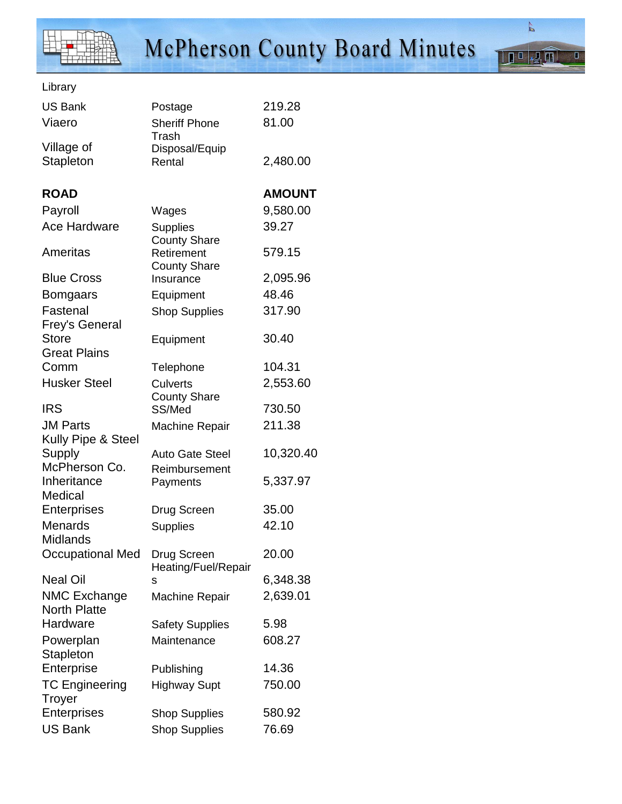

 $\overline{\mathsf{a}}$ 

 $\mathbb{Z}^{\mathbb{Z}}$ 

Library

| <b>US Bank</b>                             | Postage                            | 219.28        |
|--------------------------------------------|------------------------------------|---------------|
| Viaero                                     | <b>Sheriff Phone</b>               | 81.00         |
| Village of<br><b>Stapleton</b>             | Trash<br>Disposal/Equip<br>Rental  | 2,480.00      |
| <b>ROAD</b>                                |                                    | <b>AMOUNT</b> |
| Payroll                                    | Wages                              | 9,580.00      |
| <b>Ace Hardware</b>                        | <b>Supplies</b>                    | 39.27         |
| Ameritas                                   | <b>County Share</b><br>Retirement  | 579.15        |
| <b>Blue Cross</b>                          | <b>County Share</b><br>Insurance   | 2,095.96      |
| <b>Bomgaars</b>                            | Equipment                          | 48.46         |
| Fastenal<br>Frey's General                 | <b>Shop Supplies</b>               | 317.90        |
| <b>Store</b><br><b>Great Plains</b>        | Equipment                          | 30.40         |
| Comm                                       | Telephone                          | 104.31        |
| <b>Husker Steel</b>                        | <b>Culverts</b>                    | 2,553.60      |
| <b>IRS</b>                                 | <b>County Share</b><br>SS/Med      | 730.50        |
| <b>JM Parts</b>                            | <b>Machine Repair</b>              | 211.38        |
| Kully Pipe & Steel                         |                                    |               |
| Supply<br>McPherson Co.                    | <b>Auto Gate Steel</b>             | 10,320.40     |
| Inheritance<br>Medical                     | Reimbursement<br>Payments          | 5,337.97      |
| <b>Enterprises</b>                         | Drug Screen                        | 35.00         |
| <b>Menards</b><br><b>Midlands</b>          | <b>Supplies</b>                    | 42.10         |
| <b>Occupational Med</b>                    | Drug Screen<br>Heating/Fuel/Repair | 20.00         |
| <b>Neal Oil</b>                            | s                                  | 6,348.38      |
| <b>NMC Exchange</b><br><b>North Platte</b> | <b>Machine Repair</b>              | 2,639.01      |
| Hardware                                   | <b>Safety Supplies</b>             | 5.98          |
| Powerplan<br>Stapleton                     | Maintenance                        | 608.27        |
| Enterprise                                 | Publishing                         | 14.36         |
| <b>TC Engineering</b><br><b>Troyer</b>     | <b>Highway Supt</b>                | 750.00        |
| Enterprises                                | <b>Shop Supplies</b>               | 580.92        |
| <b>US Bank</b>                             | <b>Shop Supplies</b>               | 76.69         |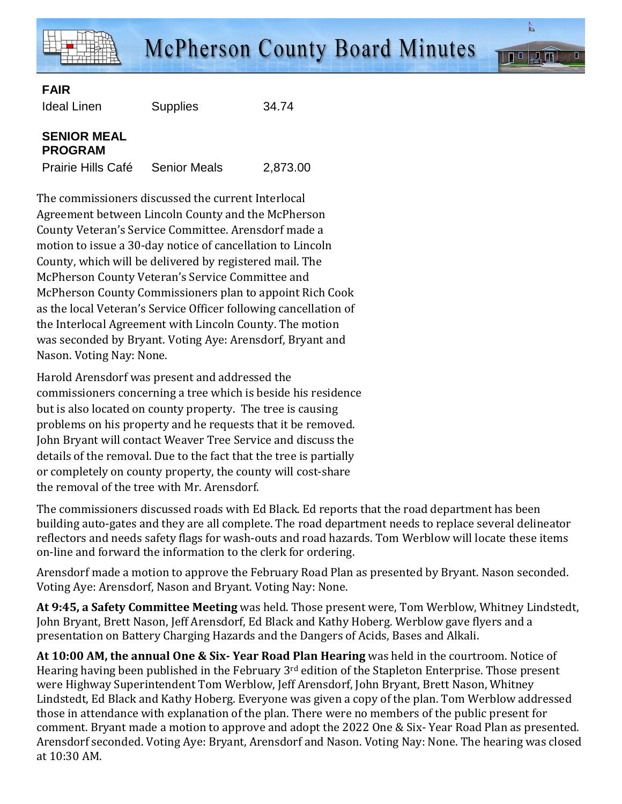

 $\Pi^0$ 

## **FAIR**

Ideal Linen Supplies 34.74

## **SENIOR MEAL PROGRAM**

Prairie Hills Café Senior Meals 2,873.00

The commissioners discussed the current Interlocal Agreement between Lincoln County and the McPherson County Veteran's Service Committee. Arensdorf made a motion to issue a 30-day notice of cancellation to Lincoln County, which will be delivered by registered mail. The McPherson County Veteran's Service Committee and McPherson County Commissioners plan to appoint Rich Cook as the local Veteran's Service Officer following cancellation of the Interlocal Agreement with Lincoln County. The motion was seconded by Bryant. Voting Aye: Arensdorf, Bryant and Nason. Voting Nay: None.

Harold Arensdorf was present and addressed the commissioners concerning a tree which is beside his residence but is also located on county property. The tree is causing problems on his property and he requests that it be removed. John Bryant will contact Weaver Tree Service and discuss the details of the removal. Due to the fact that the tree is partially or completely on county property, the county will cost-share the removal of the tree with Mr. Arensdorf.

The commissioners discussed roads with Ed Black. Ed reports that the road department has been building auto-gates and they are all complete. The road department needs to replace several delineator reflectors and needs safety flags for wash-outs and road hazards. Tom Werblow will locate these items on-line and forward the information to the clerk for ordering.

Arensdorf made a motion to approve the February Road Plan as presented by Bryant. Nason seconded. Voting Aye: Arensdorf, Nason and Bryant. Voting Nay: None.

**At 9:45, a Safety Committee Meeting** was held. Those present were, Tom Werblow, Whitney Lindstedt, John Bryant, Brett Nason, Jeff Arensdorf, Ed Black and Kathy Hoberg. Werblow gave flyers and a presentation on Battery Charging Hazards and the Dangers of Acids, Bases and Alkali.

**At 10:00 AM, the annual One & Six- Year Road Plan Hearing** was held in the courtroom. Notice of Hearing having been published in the February 3<sup>rd</sup> edition of the Stapleton Enterprise. Those present were Highway Superintendent Tom Werblow, Jeff Arensdorf, John Bryant, Brett Nason, Whitney Lindstedt, Ed Black and Kathy Hoberg. Everyone was given a copy of the plan. Tom Werblow addressed those in attendance with explanation of the plan. There were no members of the public present for comment. Bryant made a motion to approve and adopt the 2022 One & Six- Year Road Plan as presented. Arensdorf seconded. Voting Aye: Bryant, Arensdorf and Nason. Voting Nay: None. The hearing was closed at 10:30 AM.